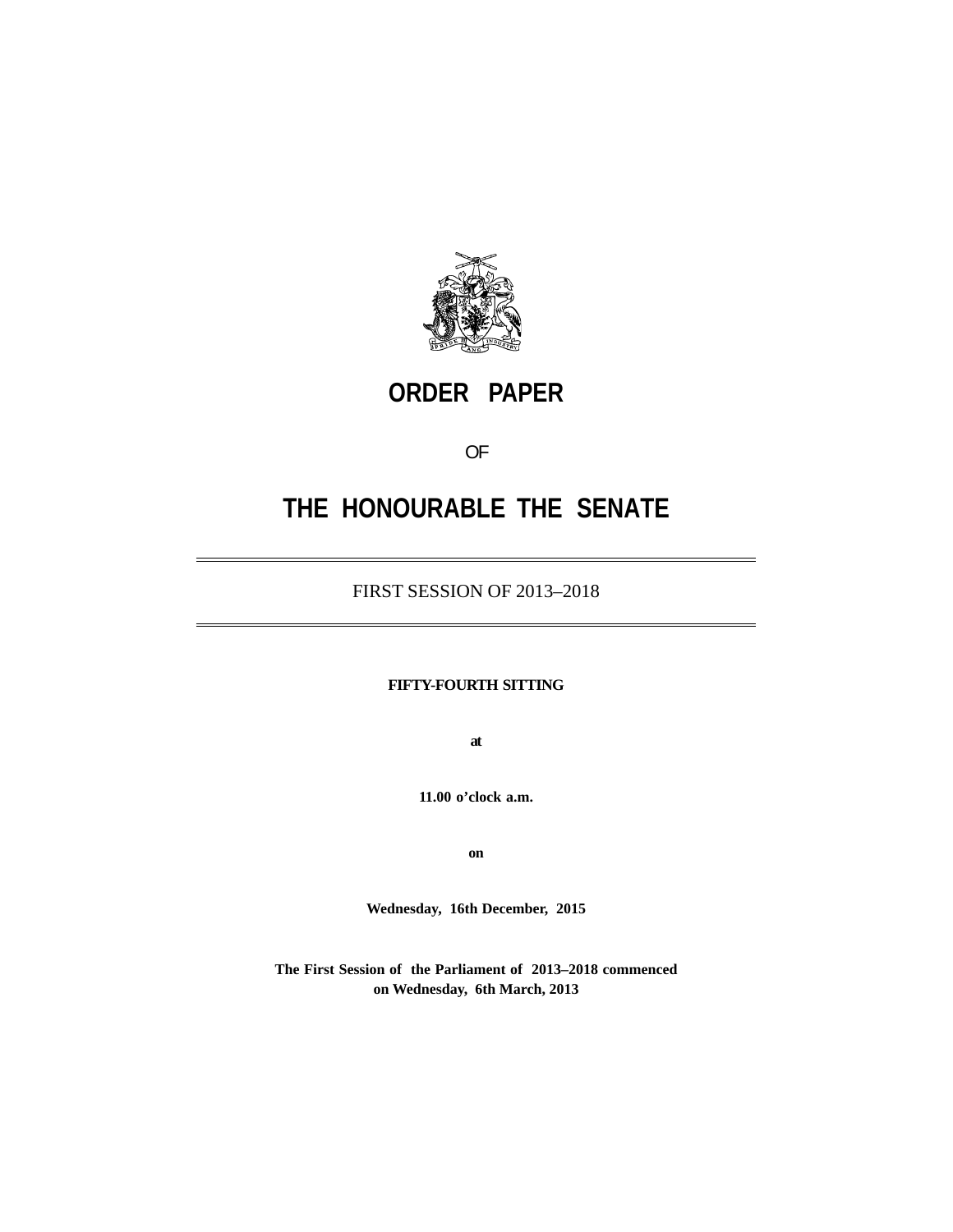

# **ORDER PAPER**

OF

# **THE HONOURABLE THE SENATE**

### FIRST SESSION OF 2013–2018

#### **FIFTY-FOURTH SITTING**

**at**

**11.00 o'clock a.m.**

**on**

**Wednesday, 16th December, 2015**

**The First Session of the Parliament of 2013–2018 commenced on Wednesday, 6th March, 2013**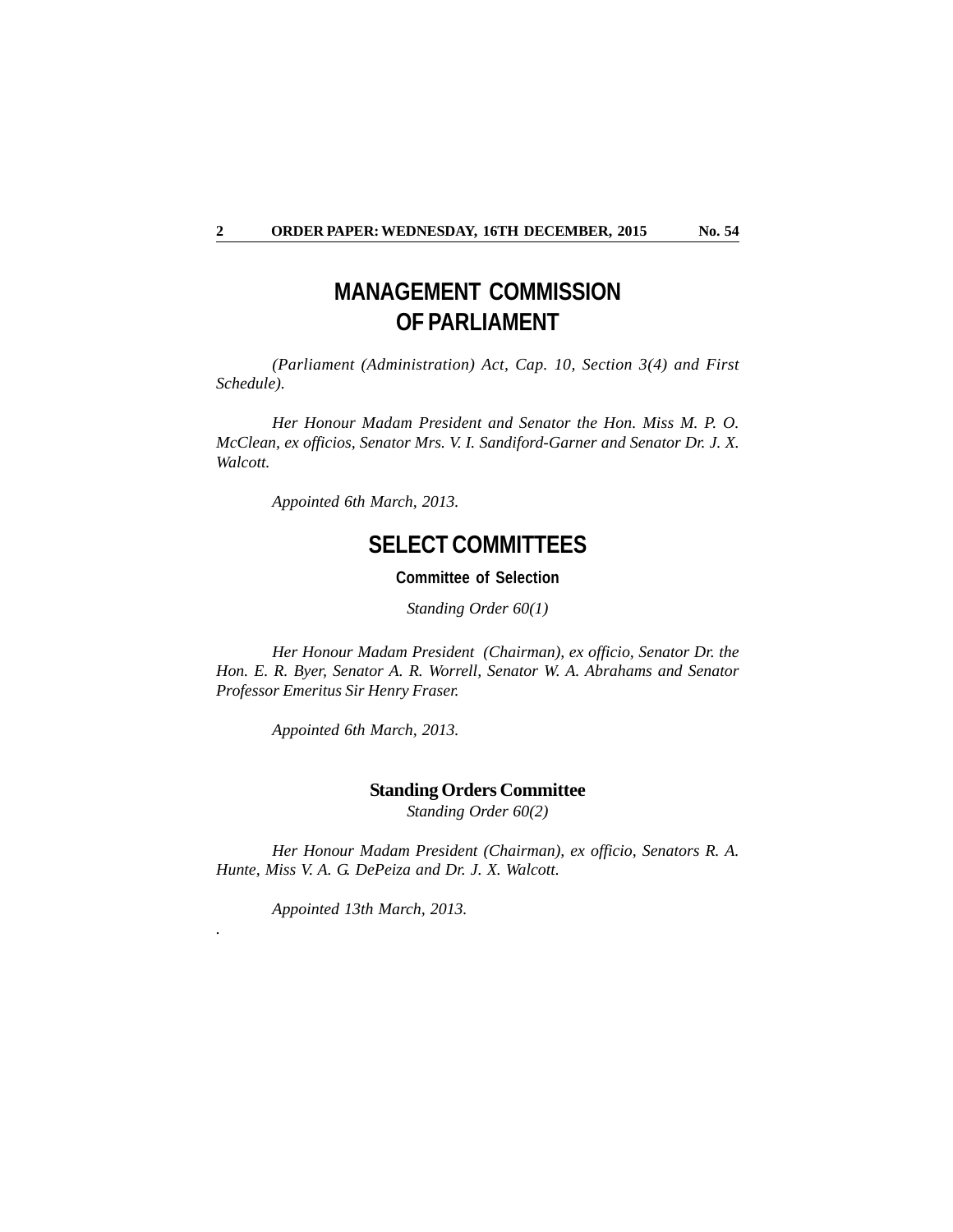## **MANAGEMENT COMMISSION OF PARLIAMENT**

*(Parliament (Administration) Act, Cap. 10, Section 3(4) and First Schedule).*

*Her Honour Madam President and Senator the Hon. Miss M. P. O. McClean, ex officios, Senator Mrs. V. I. Sandiford-Garner and Senator Dr. J. X. Walcott.*

*Appointed 6th March, 2013.*

### **SELECT COMMITTEES**

**Committee of Selection**

*Standing Order 60(1)*

*Her Honour Madam President (Chairman), ex officio, Senator Dr. the Hon. E. R. Byer, Senator A. R. Worrell, Senator W. A. Abrahams and Senator Professor Emeritus Sir Henry Fraser.*

*Appointed 6th March, 2013.*

#### **Standing Orders Committee**

*Standing Order 60(2)*

*Her Honour Madam President (Chairman), ex officio, Senators R. A. Hunte, Miss V. A. G. DePeiza and Dr. J. X. Walcott.*

*Appointed 13th March, 2013.*

*.*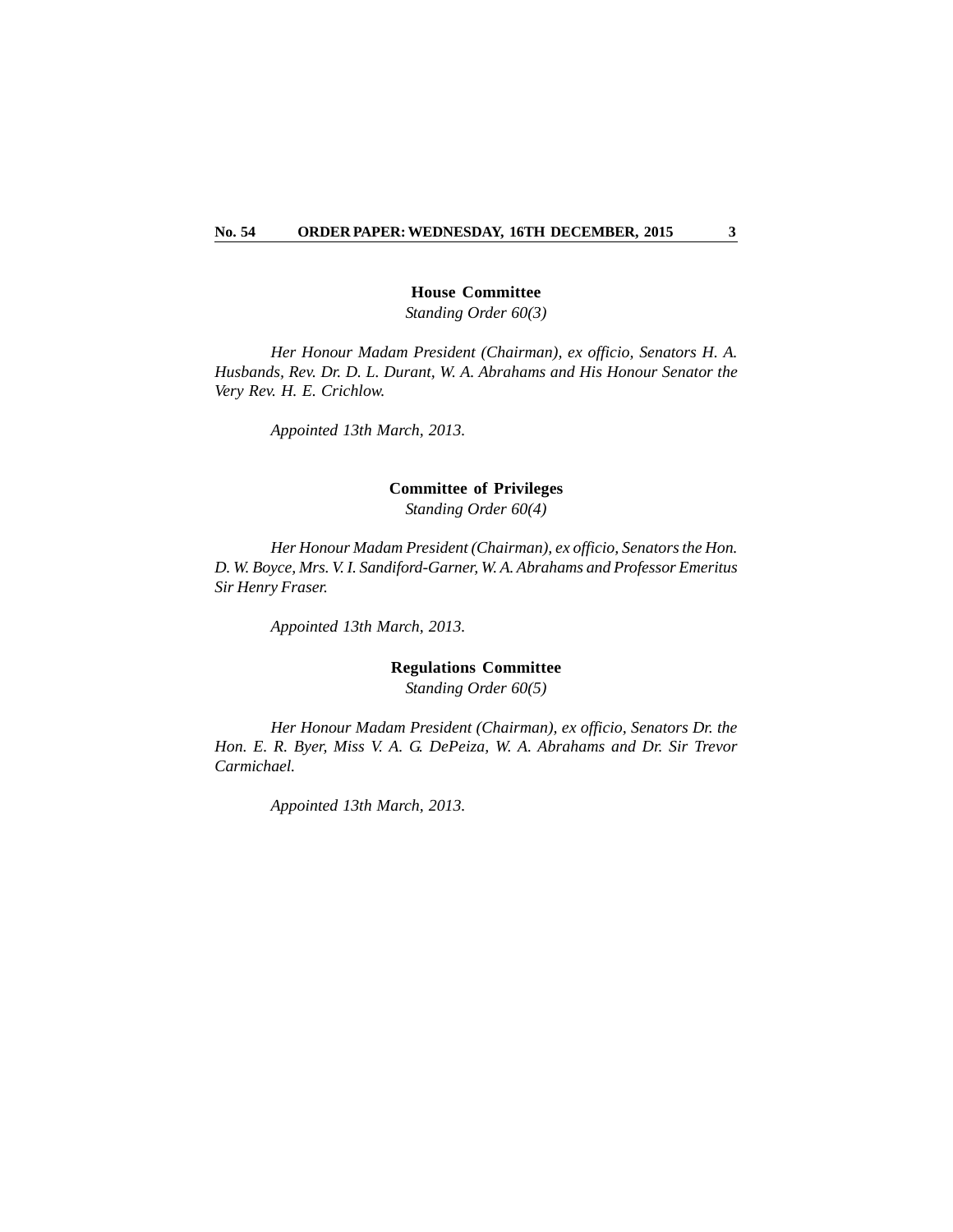#### **House Committee**

*Standing Order 60(3)*

*Her Honour Madam President (Chairman), ex officio, Senators H. A. Husbands, Rev. Dr. D. L. Durant, W. A. Abrahams and His Honour Senator the Very Rev. H. E. Crichlow.*

*Appointed 13th March, 2013.*

#### **Committee of Privileges**

*Standing Order 60(4)*

*Her Honour Madam President (Chairman), ex officio, Senators the Hon. D. W. Boyce, Mrs. V. I. Sandiford-Garner, W. A. Abrahams and Professor Emeritus Sir Henry Fraser.*

*Appointed 13th March, 2013.*

#### **Regulations Committee**

*Standing Order 60(5)*

*Her Honour Madam President (Chairman), ex officio, Senators Dr. the Hon. E. R. Byer, Miss V. A. G. DePeiza, W. A. Abrahams and Dr. Sir Trevor Carmichael.*

*Appointed 13th March, 2013.*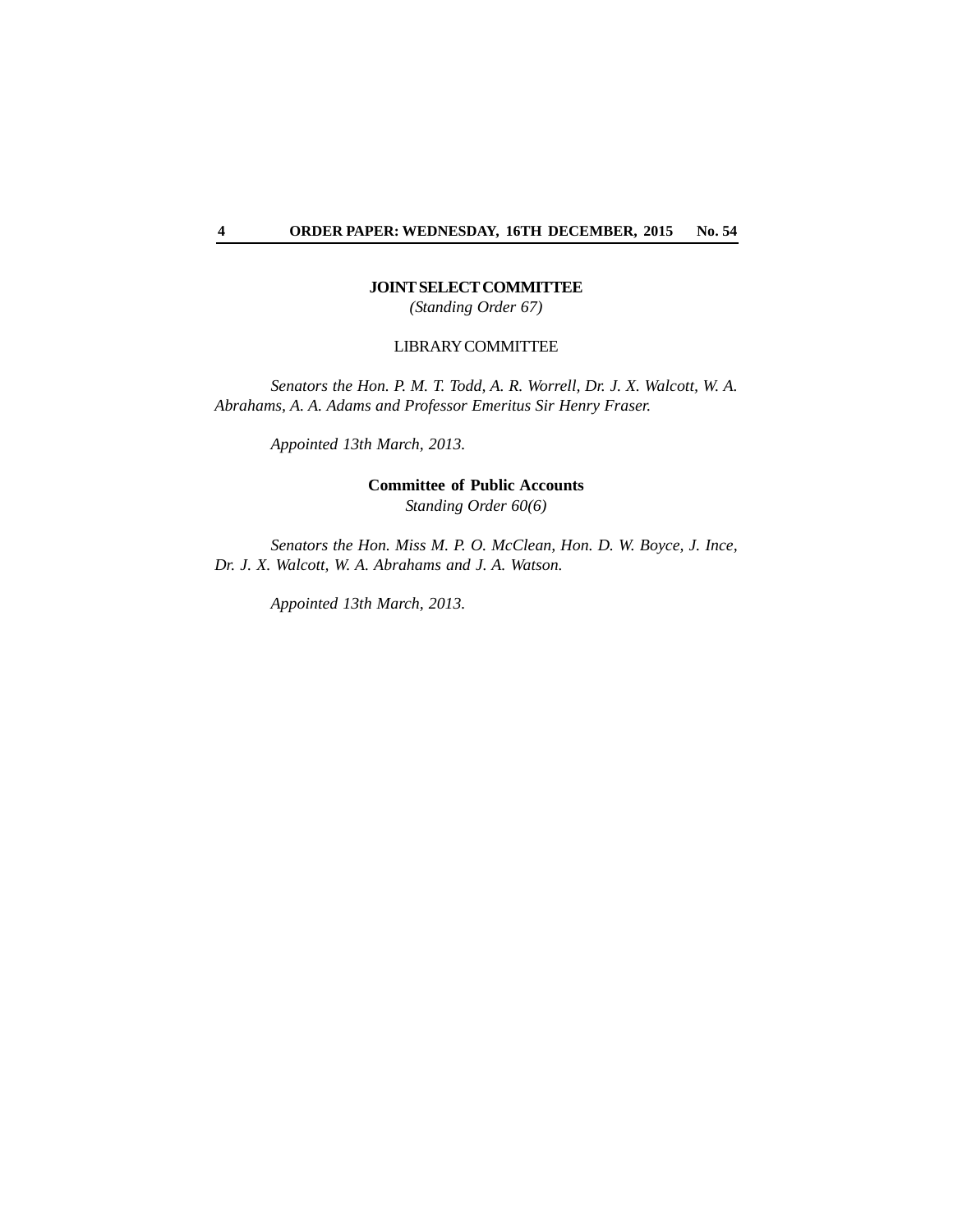#### **JOINT SELECT COMMITTEE**

*(Standing Order 67)*

#### LIBRARY COMMITTEE

*Senators the Hon. P. M. T. Todd, A. R. Worrell, Dr. J. X. Walcott, W. A. Abrahams, A. A. Adams and Professor Emeritus Sir Henry Fraser.*

*Appointed 13th March, 2013.*

**Committee of Public Accounts** *Standing Order 60(6)*

*Senators the Hon. Miss M. P. O. McClean, Hon. D. W. Boyce, J. Ince, Dr. J. X. Walcott, W. A. Abrahams and J. A. Watson.*

*Appointed 13th March, 2013.*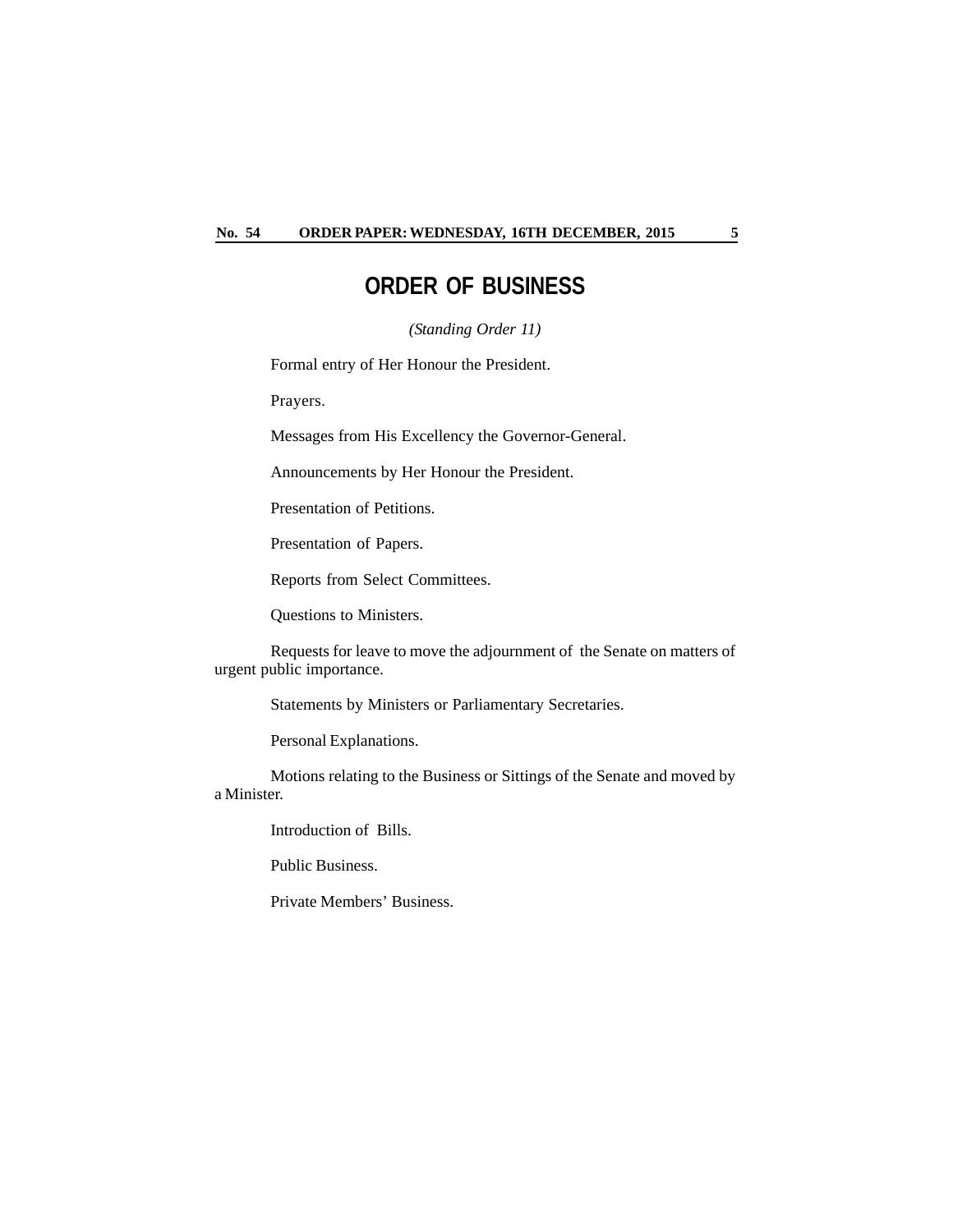### **ORDER OF BUSINESS**

*(Standing Order 11)*

Formal entry of Her Honour the President.

Prayers.

Messages from His Excellency the Governor-General.

Announcements by Her Honour the President.

Presentation of Petitions.

Presentation of Papers.

Reports from Select Committees.

Questions to Ministers.

Requests for leave to move the adjournment of the Senate on matters of urgent public importance.

Statements by Ministers or Parliamentary Secretaries.

Personal Explanations.

Motions relating to the Business or Sittings of the Senate and moved by a Minister.

Introduction of Bills.

Public Business.

Private Members' Business.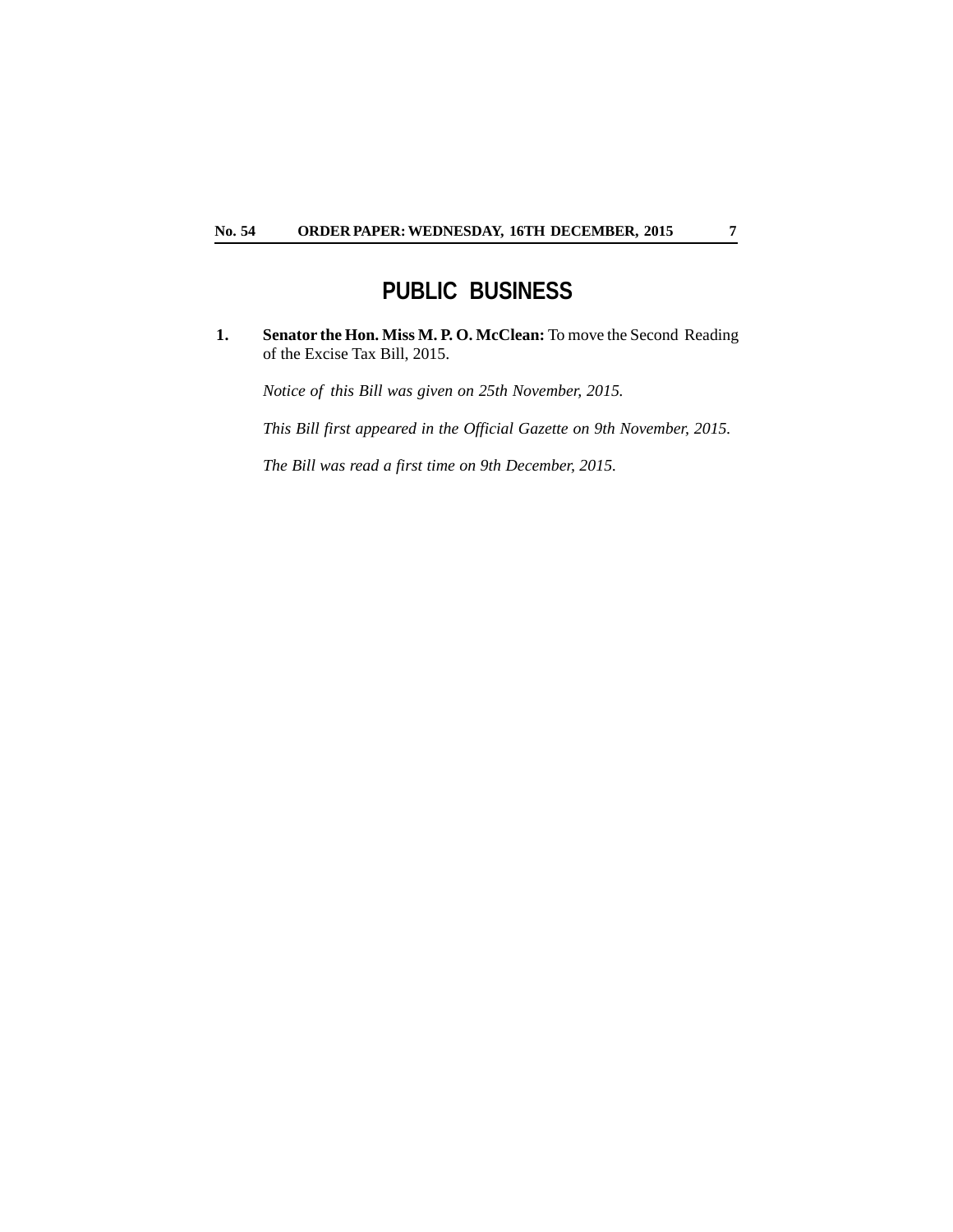## **PUBLIC BUSINESS**

**1. Senator the Hon. Miss M. P. O. McClean:** To move the Second Reading of the Excise Tax Bill, 2015.

*Notice of this Bill was given on 25th November, 2015.*

*This Bill first appeared in the Official Gazette on 9th November, 2015.*

*The Bill was read a first time on 9th December, 2015.*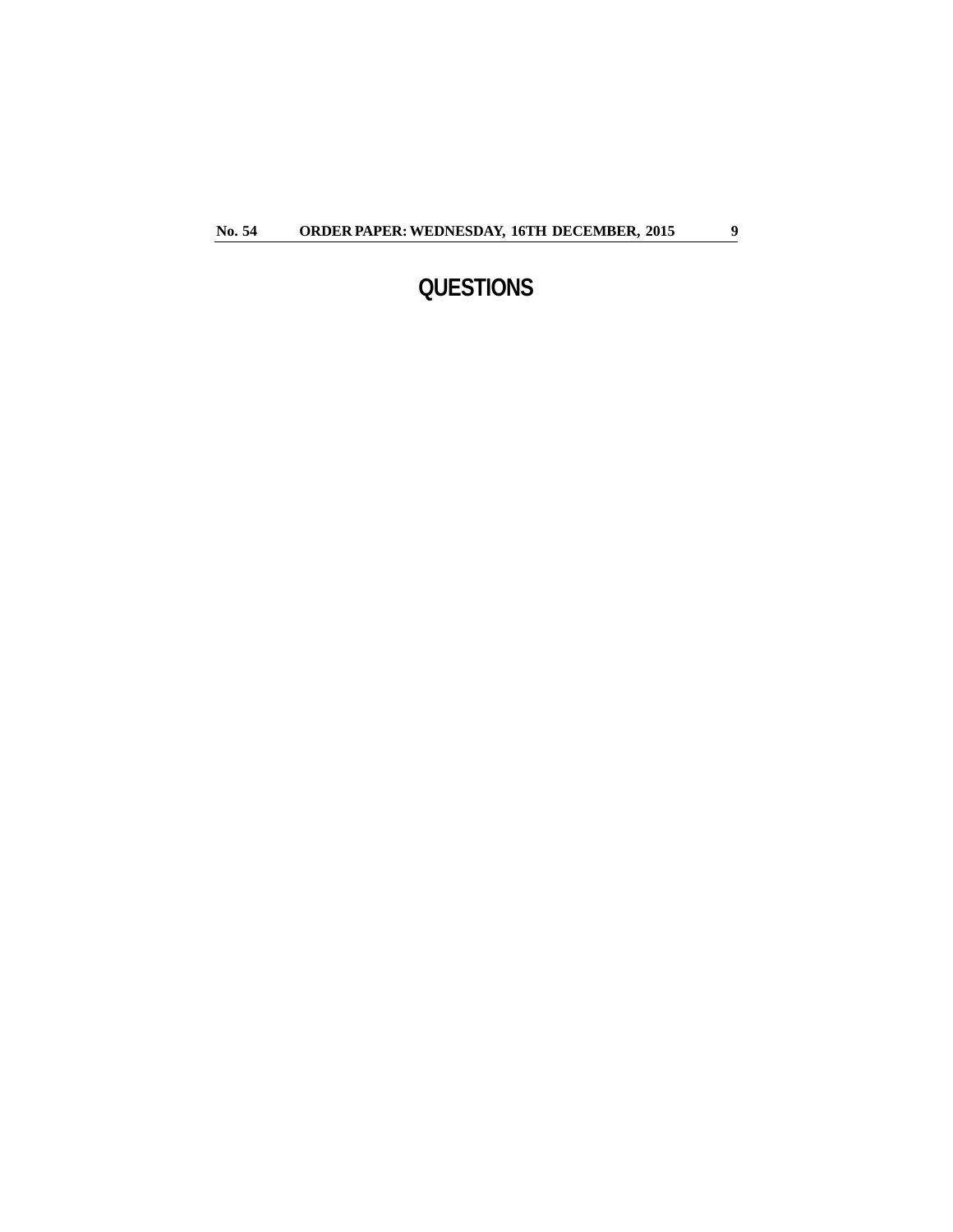# **QUESTIONS**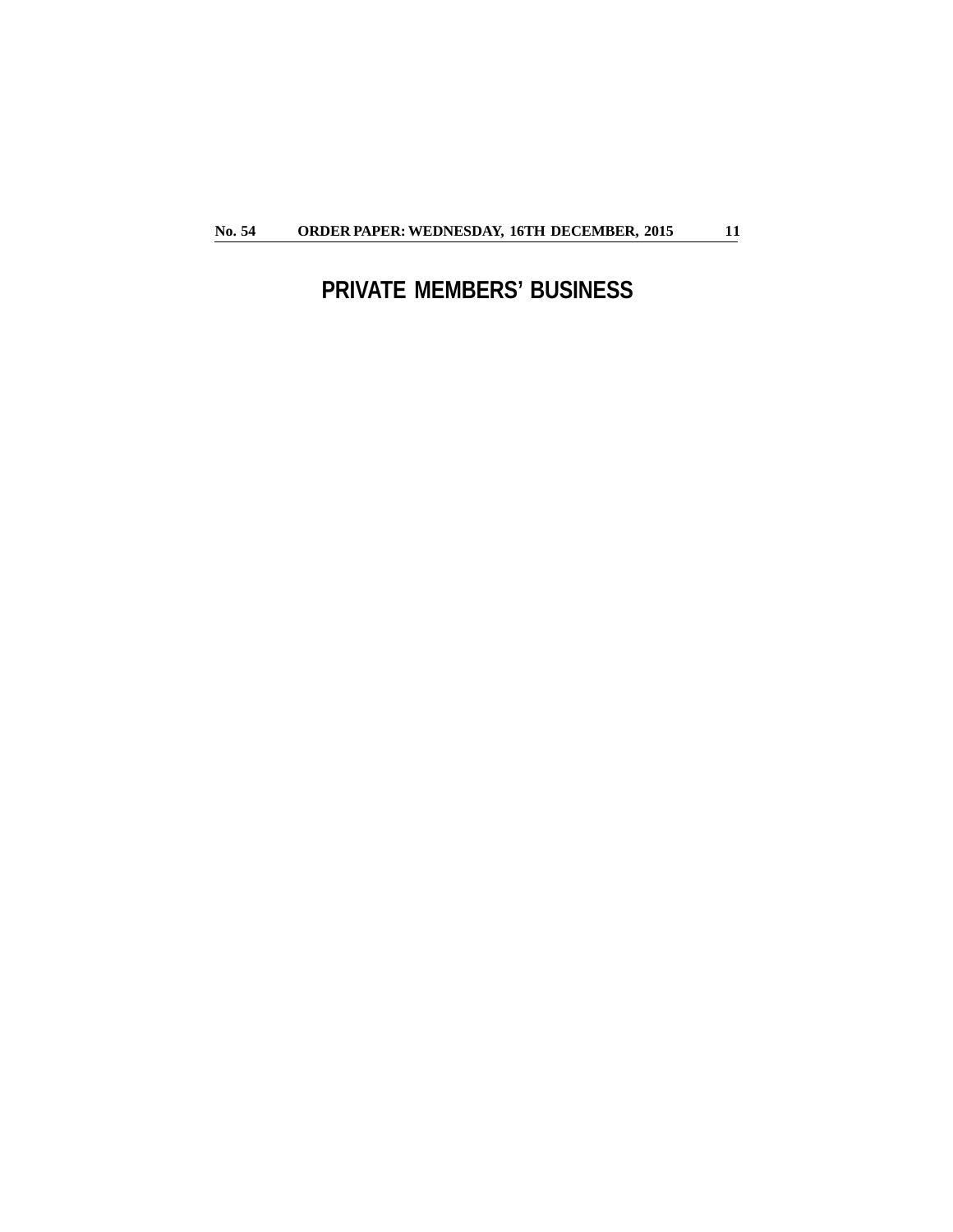# **PRIVATE MEMBERS' BUSINESS**